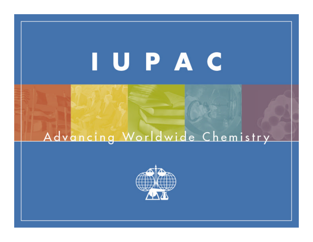# IUPAC

### Advancing Worldwide Chemistry

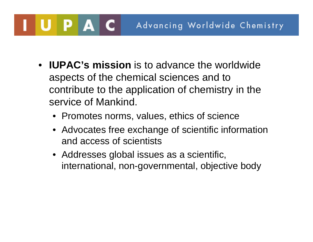- **IUPAC's mission** is to advance the worldwide aspects of the chemical sciences and to contribute to the application of chemistry in the service of Mankind.
	- Promotes norms, values, ethics of science
	- Advocates free exchange of scientific information and access of scientists
	- Addresses global issues as a scientific, international, non-governmental, objective body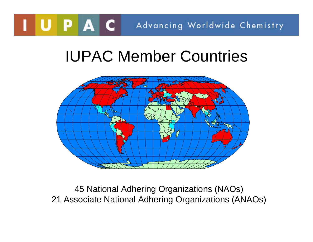### IUPAC Member Countries



45 National Adhering Organizations (NAOs) 21 Associate National Adhering Organizations (ANAOs)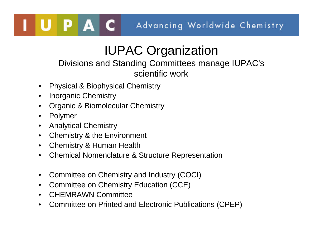### IUPAC Organization

#### Divisions and Standing Committees manage IUPAC's scientific work

- Physical & Biophysical Chemistry
- Inorganic Chemistry
- Organic & Biomolecular Chemistry
- Polymer
- Analytical Chemistry
- **Chemistry & the Environment**
- Chemistry & Human Health
- Chemical Nomenclature & Structure Representation
- Committee on Chemistry and Industry (COCI)
- Committee on Chemistry Education (CCE)
- CHEMRAWN Committee
- Committee on Printed and Electronic Publications (CPEP)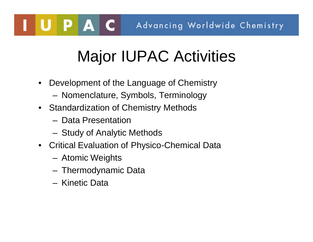## Major IUPAC Activities

- Development of the Language of Chemistry
	- Nomenclature, Symbols, Terminology
- Standardization of Chemistry Methods
	- Data Presentation
	- Study of Analytic Methods
- Critical Evaluation of Physico-Chemical Data
	- Atomic Weights
	- Thermodynamic Data
	- Kinetic Data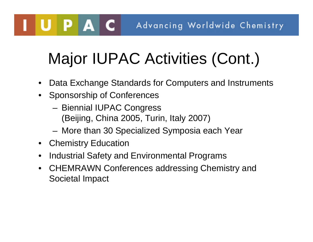## Major IUPAC Activities (Cont.)

- Data Exchange Standards for Computers and Instruments
- Sponsorship of Conferences
	- Biennial IUPAC Congress (Beijing, China 2005, Turin, Italy 2007)
	- More than 30 Specialized Symposia each Year
- Chemistry Education

UPAC

- Industrial Safety and Environmental Programs
- CHEMRAWN Conferences addressing Chemistry and Societal Impact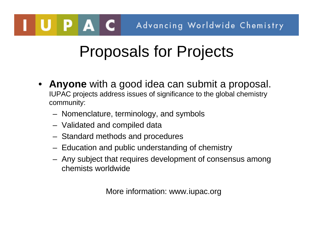### Proposals for Projects

- **Anyone** with a good idea can submit a proposal. IUPAC projects address issues of significance to the global chemistry community:
	- Nomenclature, terminology, and symbols
	- Validated and compiled data
	- Standard methods and procedures
	- Education and public understanding of chemistry
	- Any subject that requires development of consensus among chemists worldwide

More information: www.iupac.org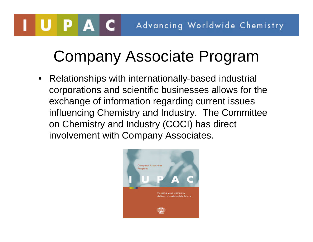## Company Associate Program

• Relationships with internationally-based industrial corporations and scientific businesses allows for the exchange of information regarding current issues influencing Chemistry and Industry. The Committee on Chemistry and Industry (COCI) has direct involvement with Company Associates.

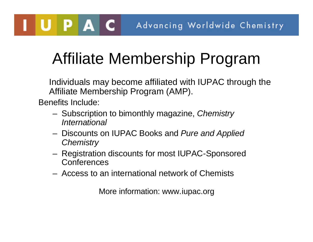## Affiliate Membership Program

Individuals may become affiliated with IUPAC through the Affiliate Membership Program (AMP).

Benefits Include:

UPAC

- Subscription to bimonthly magazine, *Chemistry International*
- Discounts on IUPAC Books and *Pure and Applied Chemistry*
- Registration discounts for most IUPAC-Sponsored **Conferences**
- Access to an international network of Chemists

More information: www.iupac.org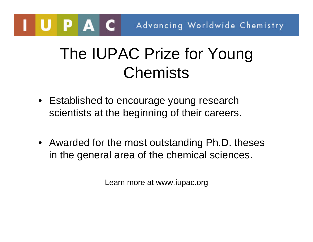### The IUPAC Prize for Young **Chemists**

- Established to encourage young research scientists at the beginning of their careers.
- Awarded for the most outstanding Ph.D. theses in the general area of the chemical sciences.

Learn more at www.iupac.org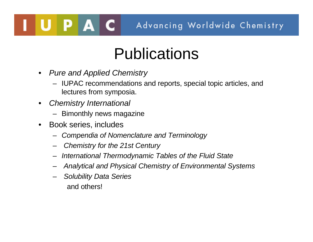### Publications

- *Pure and Applied Chemistry*
	- IUPAC recommendations and reports, special topic articles, and lectures from symposia.
- *Chemistry International*

PAC

- Bimonthly news magazine
- Book series, includes
	- *Compendia of Nomenclature and Terminology*
	- *Chemistry for the 21st Century*
	- *International Thermodynamic Tables of the Fluid State*
	- *Analytical and Physical Chemistry of Environmental Systems*
	- *Solubility Data Series*  and others!